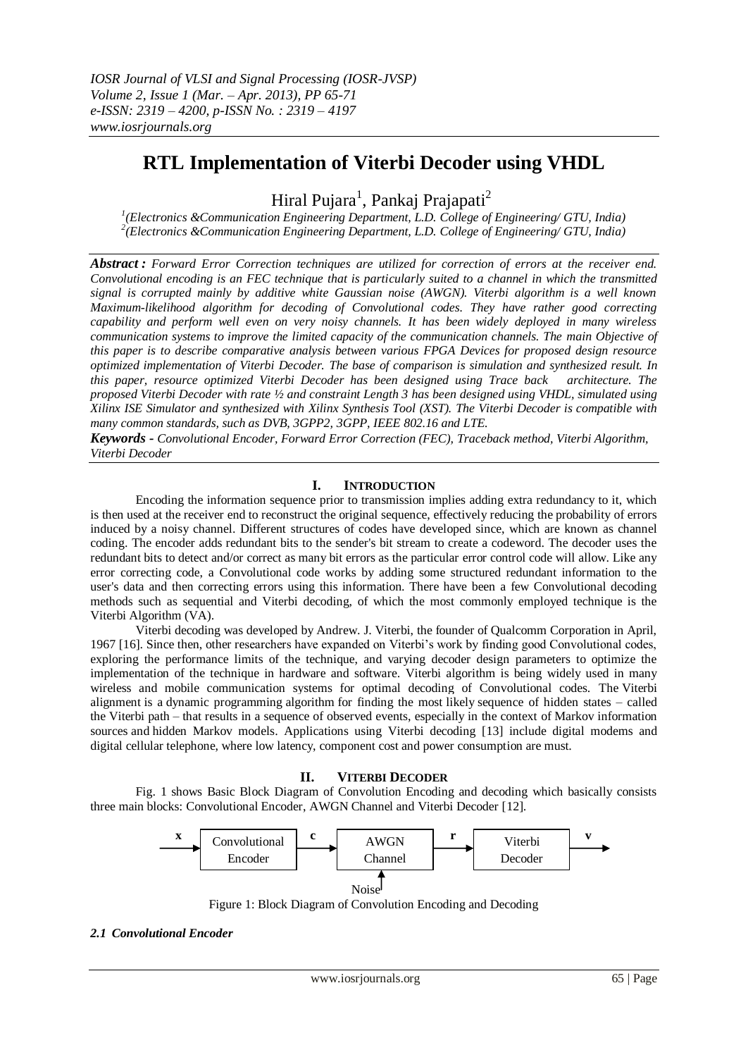# **RTL Implementation of Viterbi Decoder using VHDL**

Hiral Pujara<sup>1</sup>, Pankaj Prajapati<sup>2</sup>

*1 (Electronics &Communication Engineering Department, L.D. College of Engineering/ GTU, India) 2 (Electronics &Communication Engineering Department, L.D. College of Engineering/ GTU, India)*

*Abstract : Forward Error Correction techniques are utilized for correction of errors at the receiver end. Convolutional encoding is an FEC technique that is particularly suited to a channel in which the transmitted signal is corrupted mainly by additive white Gaussian noise (AWGN). Viterbi algorithm is a well known Maximum-likelihood algorithm for decoding of Convolutional codes. They have rather good correcting capability and perform well even on very noisy channels. It has been widely deployed in many wireless communication systems to improve the limited capacity of the communication channels. The main Objective of this paper is to describe comparative analysis between various FPGA Devices for proposed design resource optimized implementation of Viterbi Decoder. The base of comparison is simulation and synthesized result. In this paper, resource optimized Viterbi Decoder has been designed using Trace back architecture. The proposed Viterbi Decoder with rate ½ and constraint Length 3 has been designed using VHDL, simulated using Xilinx ISE Simulator and synthesized with Xilinx Synthesis Tool (XST). The Viterbi Decoder is compatible with many common standards, such as DVB, 3GPP2, 3GPP, IEEE 802.16 and LTE.* 

*Keywords - Convolutional Encoder, Forward Error Correction (FEC), Traceback method, Viterbi Algorithm, Viterbi Decoder*

# **I. INTRODUCTION**

Encoding the information sequence prior to transmission implies adding extra redundancy to it, which is then used at the receiver end to reconstruct the original sequence, effectively reducing the probability of errors induced by a noisy channel. Different structures of codes have developed since, which are known as channel coding. The encoder adds redundant bits to the sender's bit stream to create a codeword. The decoder uses the redundant bits to detect and/or correct as many bit errors as the particular error control code will allow. Like any error correcting code, a Convolutional code works by adding some structured redundant information to the user's data and then correcting errors using this information. There have been a few Convolutional decoding methods such as sequential and Viterbi decoding, of which the most commonly employed technique is the Viterbi Algorithm (VA).

Viterbi decoding was developed by Andrew. J. Viterbi, the founder of Qualcomm Corporation in April, 1967 [16]. Since then, other researchers have expanded on Viterbi's work by finding good Convolutional codes, exploring the performance limits of the technique, and varying decoder design parameters to optimize the implementation of the technique in hardware and software. Viterbi algorithm is being widely used in many wireless and mobile communication systems for optimal decoding of Convolutional codes. The Viterbi alignment is a [dynamic programming](http://en.wikipedia.org/wiki/Dynamic_programming) [algorithm](http://en.wikipedia.org/wiki/Algorithm) for finding the most [likely](http://en.wikipedia.org/wiki/Likelihood_function) sequence of hidden states – called the Viterbi path – that results in a sequence of observed events, especially in the context of [Markov information](http://en.wikipedia.org/wiki/Markov_information_source)  [sources](http://en.wikipedia.org/wiki/Markov_information_source) and [hidden Markov models.](http://en.wikipedia.org/wiki/Hidden_Markov_model) Applications using Viterbi decoding [13] include digital modems and digital cellular telephone, where low latency, component cost and power consumption are must.

# **II. VITERBI DECODER**

Fig. 1 shows Basic Block Diagram of Convolution Encoding and decoding which basically consists three main blocks: Convolutional Encoder, AWGN Channel and Viterbi Decoder [12].



Figure 1: Block Diagram of Convolution Encoding and Decoding

#### *2.1 Convolutional Encoder*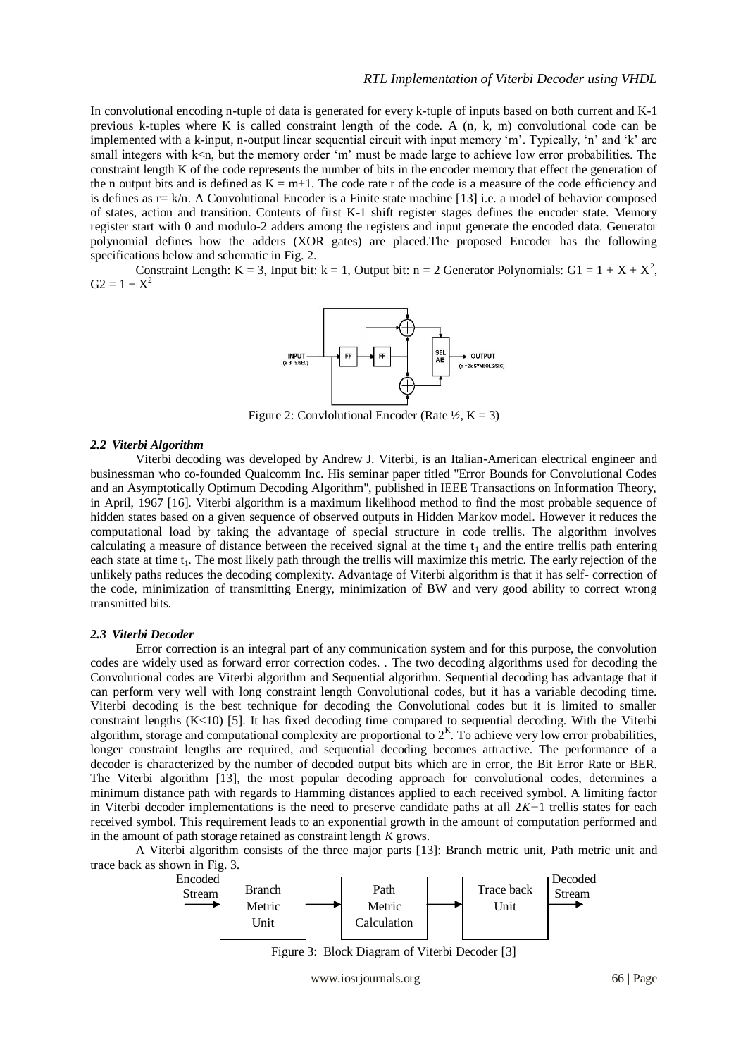In convolutional encoding n-tuple of data is generated for every k-tuple of inputs based on both current and K-1 previous k-tuples where K is called constraint length of the code. A (n, k, m) convolutional code can be implemented with a k-input, n-output linear sequential circuit with input memory 'm'. Typically, 'n' and 'k' are small integers with k<n, but the memory order 'm' must be made large to achieve low error probabilities. The constraint length K of the code represents the number of bits in the encoder memory that effect the generation of the n output bits and is defined as  $K = m+1$ . The code rate r of the code is a measure of the code efficiency and is defines as  $r = k/n$ . A Convolutional Encoder is a Finite state machine [13] i.e. a model of behavior composed of states, action and transition. Contents of first K-1 shift register stages defines the encoder state. Memory register start with 0 and modulo-2 adders among the registers and input generate the encoded data. Generator polynomial defines how the adders (XOR gates) are placed.The proposed Encoder has the following specifications below and schematic in Fig. 2.

Constraint Length: K = 3, Input bit: k = 1, Output bit: n = 2 Generator Polynomials: G1 =  $1 + X + X^2$ ,  $G2 = 1 + X^2$ 



Figure 2: Convlolutional Encoder (Rate  $\frac{1}{2}$ , K = 3)

## *2.2 Viterbi Algorithm*

Viterbi decoding was developed by Andrew J. Viterbi, is an Italian-American electrical engineer and businessman who co-founded Qualcomm Inc. His seminar paper titled "Error Bounds for Convolutional Codes and an Asymptotically Optimum Decoding Algorithm", published in IEEE Transactions on Information Theory, in April, 1967 [16]. Viterbi algorithm is a maximum likelihood method to find the most probable sequence of hidden states based on a given sequence of observed outputs in Hidden Markov model. However it reduces the computational load by taking the advantage of special structure in code trellis. The algorithm involves calculating a measure of distance between the received signal at the time  $t_1$  and the entire trellis path entering each state at time  $t_1$ . The most likely path through the trellis will maximize this metric. The early rejection of the unlikely paths reduces the decoding complexity. Advantage of Viterbi algorithm is that it has self- correction of the code, minimization of transmitting Energy, minimization of BW and very good ability to correct wrong transmitted bits.

#### *2.3 Viterbi Decoder*

Error correction is an integral part of any communication system and for this purpose, the convolution codes are widely used as forward error correction codes. . The two decoding algorithms used for decoding the Convolutional codes are Viterbi algorithm and Sequential algorithm. Sequential decoding has advantage that it can perform very well with long constraint length Convolutional codes, but it has a variable decoding time. Viterbi decoding is the best technique for decoding the Convolutional codes but it is limited to smaller constraint lengths  $(K<10)$  [5]. It has fixed decoding time compared to sequential decoding. With the Viterbi algorithm, storage and computational complexity are proportional to  $2<sup>K</sup>$ . To achieve very low error probabilities, longer constraint lengths are required, and sequential decoding becomes attractive. The performance of a decoder is characterized by the number of decoded output bits which are in error, the Bit Error Rate or BER. The Viterbi algorithm [13], the most popular decoding approach for convolutional codes, determines a minimum distance path with regards to Hamming distances applied to each received symbol. A limiting factor in Viterbi decoder implementations is the need to preserve candidate paths at all 2*K−*1 trellis states for each received symbol. This requirement leads to an exponential growth in the amount of computation performed and in the amount of path storage retained as constraint length *K* grows.

A Viterbi algorithm consists of the three major parts [13]: Branch metric unit, Path metric unit and trace back as shown in Fig. 3.



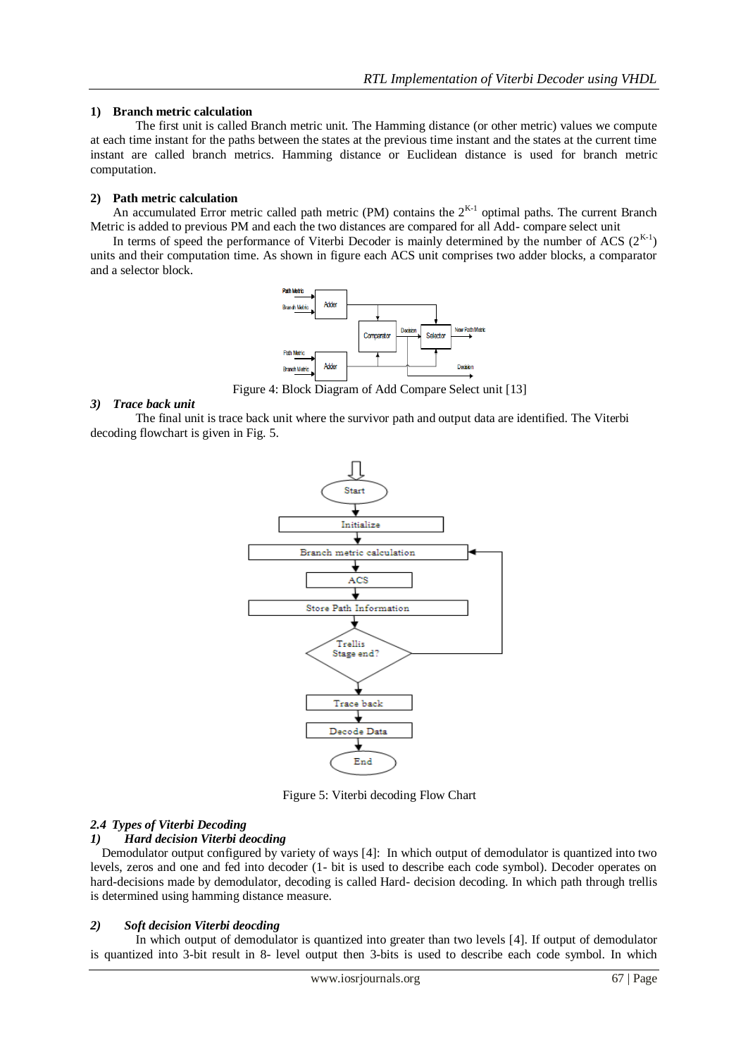## **1) Branch metric calculation**

The first unit is called Branch metric unit. The Hamming distance (or other metric) values we compute at each time instant for the paths between the states at the previous time instant and the states at the current time instant are called branch metrics. Hamming distance or Euclidean distance is used for branch metric computation.

## **2) Path metric calculation**

An accumulated Error metric called path metric (PM) contains the  $2^{K-1}$  optimal paths. The current Branch Metric is added to previous PM and each the two distances are compared for all Add- compare select unit

In terms of speed the performance of Viterbi Decoder is mainly determined by the number of ACS  $(2^{K-1})$ units and their computation time. As shown in figure each ACS unit comprises two adder blocks, a comparator and a selector block.



Figure 4: Block Diagram of Add Compare Select unit [13]

#### *3) Trace back unit*

The final unit is trace back unit where the survivor path and output data are identified. The Viterbi decoding flowchart is given in Fig. 5.



Figure 5: Viterbi decoding Flow Chart

# *2.4 Types of Viterbi Decoding*

# *1) Hard decision Viterbi deocding*

Demodulator output configured by variety of ways [4]: In which output of demodulator is quantized into two levels, zeros and one and fed into decoder (1- bit is used to describe each code symbol). Decoder operates on hard-decisions made by demodulator, decoding is called Hard- decision decoding. In which path through trellis is determined using hamming distance measure.

# *2) Soft decision Viterbi deocding*

In which output of demodulator is quantized into greater than two levels [4]. If output of demodulator is quantized into 3-bit result in 8- level output then 3-bits is used to describe each code symbol. In which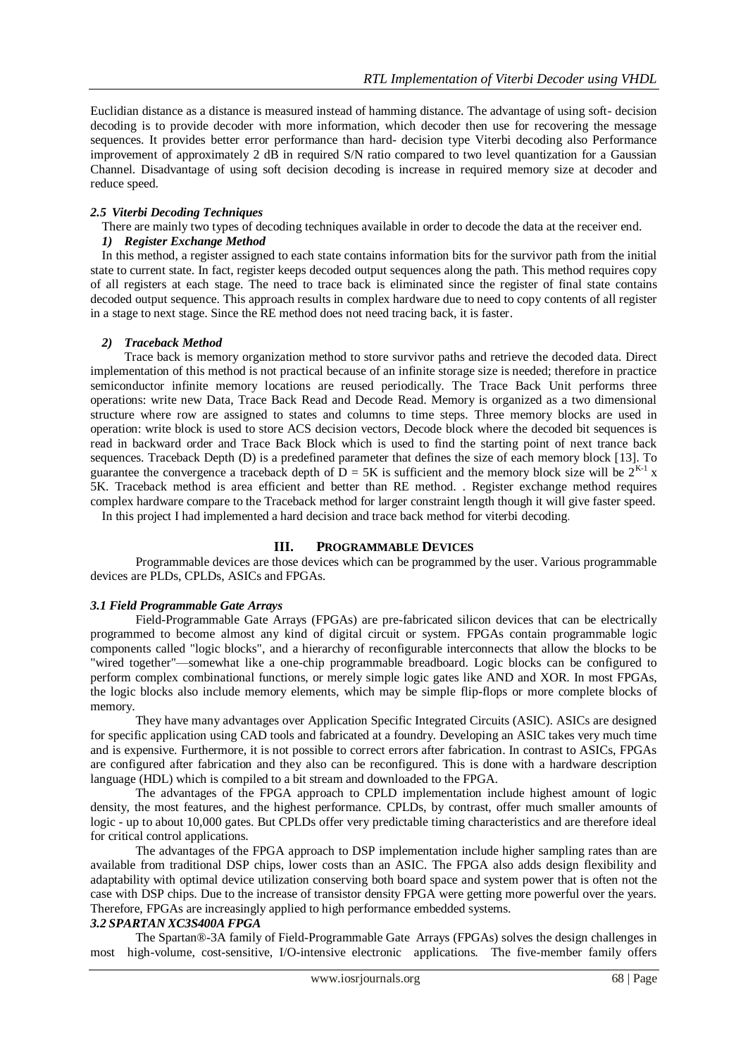Euclidian distance as a distance is measured instead of hamming distance. The advantage of using soft- decision decoding is to provide decoder with more information, which decoder then use for recovering the message sequences. It provides better error performance than hard- decision type Viterbi decoding also Performance improvement of approximately 2 dB in required S/N ratio compared to two level quantization for a Gaussian Channel. Disadvantage of using soft decision decoding is increase in required memory size at decoder and reduce speed.

#### *2.5 Viterbi Decoding Techniques*

There are mainly two types of decoding techniques available in order to decode the data at the receiver end.

# *1) Register Exchange Method*

In this method, a register assigned to each state contains information bits for the survivor path from the initial state to current state. In fact, register keeps decoded output sequences along the path. This method requires copy of all registers at each stage. The need to trace back is eliminated since the register of final state contains decoded output sequence. This approach results in complex hardware due to need to copy contents of all register in a stage to next stage. Since the RE method does not need tracing back, it is faster.

#### *2) Traceback Method*

Trace back is memory organization method to store survivor paths and retrieve the decoded data. Direct implementation of this method is not practical because of an infinite storage size is needed; therefore in practice semiconductor infinite memory locations are reused periodically. The Trace Back Unit performs three operations: write new Data, Trace Back Read and Decode Read. Memory is organized as a two dimensional structure where row are assigned to states and columns to time steps. Three memory blocks are used in operation: write block is used to store ACS decision vectors, Decode block where the decoded bit sequences is read in backward order and Trace Back Block which is used to find the starting point of next trance back sequences. Traceback Depth (D) is a predefined parameter that defines the size of each memory block [13]. To guarantee the convergence a traceback depth of  $\bar{D} = 5K$  is sufficient and the memory block size will be  $2^{K-1}$  x 5K. Traceback method is area efficient and better than RE method. . Register exchange method requires complex hardware compare to the Traceback method for larger constraint length though it will give faster speed.

In this project I had implemented a hard decision and trace back method for viterbi decoding.

## **III. PROGRAMMABLE DEVICES**

Programmable devices are those devices which can be programmed by the user. Various programmable devices are PLDs, CPLDs, ASICs and FPGAs.

#### *3.1 Field Programmable Gate Arrays*

Field-Programmable Gate Arrays (FPGAs) are pre-fabricated silicon devices that can be electrically programmed to become almost any kind of digital circuit or system. FPGAs contain [programmable logic](http://en.wikipedia.org/wiki/Programmable_logic_device) components called "logic blocks", and a hierarchy of reconfigurable interconnects that allow the blocks to be "wired together"—somewhat like a one-chip programmable [breadboard.](http://en.wikipedia.org/wiki/Breadboard) Logic blocks can be configured to perform complex [combinational functions,](http://en.wikipedia.org/wiki/Combinational_logic) or merely simple [logic gates](http://en.wikipedia.org/wiki/Logic_gate) like [AND](http://en.wikipedia.org/wiki/AND_gate) and [XOR.](http://en.wikipedia.org/wiki/XOR_gate) In most FPGAs, the logic blocks also include memory elements, which may be simple [flip-flops](http://en.wikipedia.org/wiki/Flip-flop_%28electronics%29) or more complete blocks of memory.

They have many advantages over Application Specific Integrated Circuits (ASIC). ASICs are designed for specific application using CAD tools and fabricated at a foundry. Developing an ASIC takes very much time and is expensive. Furthermore, it is not possible to correct errors after fabrication. In contrast to ASICs, FPGAs are configured after fabrication and they also can be reconfigured. This is done with a hardware description language (HDL) which is compiled to a bit stream and downloaded to the FPGA.

The advantages of the FPGA approach to CPLD implementation include highest amount of logic density, the most features, and the highest performance. CPLDs, by contrast, offer much smaller amounts of logic - up to about 10,000 gates. But CPLDs offer very predictable timing characteristics and are therefore ideal for critical control applications.

The advantages of the FPGA approach to DSP implementation include higher sampling rates than are available from traditional DSP chips, lower costs than an ASIC. The FPGA also adds design flexibility and adaptability with optimal device utilization conserving both board space and system power that is often not the case with DSP chips. Due to the increase of transistor density FPGA were getting more powerful over the years. Therefore, FPGAs are increasingly applied to high performance embedded systems.

#### *3.2 SPARTAN XC3S400A FPGA*

The Spartan®-3A family of Field-Programmable Gate Arrays (FPGAs) solves the design challenges in most high-volume, cost-sensitive, I/O-intensive electronic applications. The five-member family offers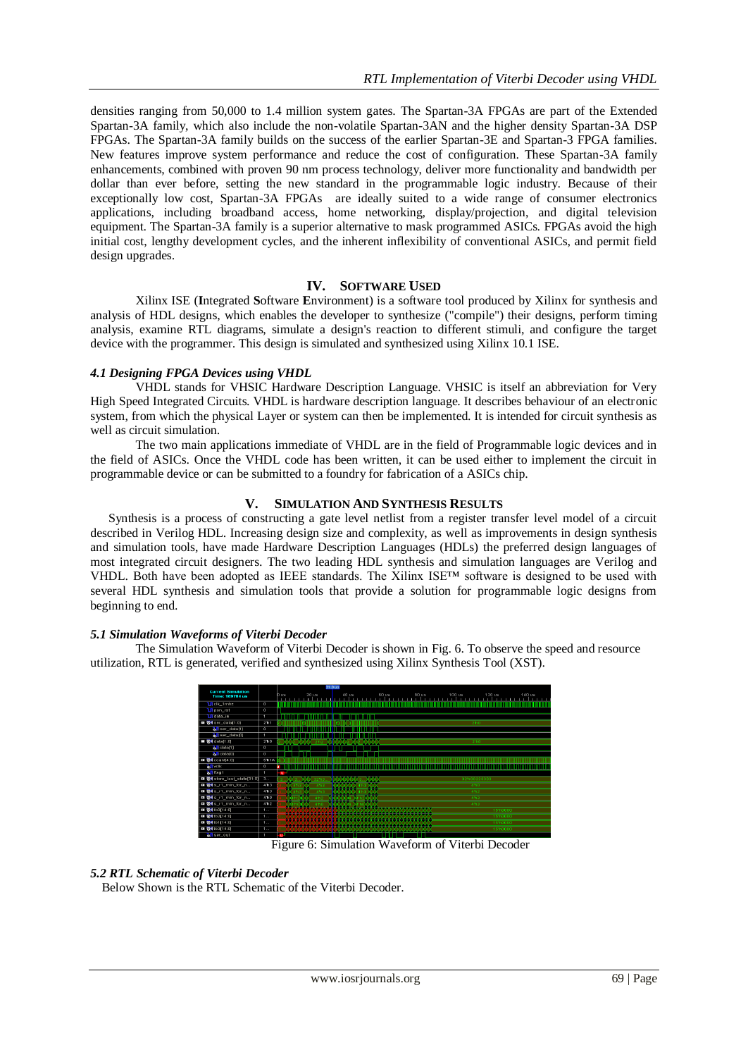densities ranging from 50,000 to 1.4 million system gates. The Spartan-3A FPGAs are part of the Extended Spartan-3A family, which also include the non-volatile Spartan-3AN and the higher density Spartan-3A DSP FPGAs. The Spartan-3A family builds on the success of the earlier Spartan-3E and Spartan-3 FPGA families. New features improve system performance and reduce the cost of configuration. These Spartan-3A family enhancements, combined with proven 90 nm process technology, deliver more functionality and bandwidth per dollar than ever before, setting the new standard in the programmable logic industry. Because of their exceptionally low cost, Spartan-3A FPGAs are ideally suited to a wide range of consumer electronics applications, including broadband access, home networking, display/projection, and digital television equipment. The Spartan-3A family is a superior alternative to mask programmed ASICs. FPGAs avoid the high initial cost, lengthy development cycles, and the inherent inflexibility of conventional ASICs, and permit field design upgrades.

## **IV. SOFTWARE USED**

Xilinx ISE (**I**ntegrated **S**oftware **E**nvironment) is a software tool produced by [Xilinx](http://en.wikipedia.org/wiki/Xilinx) for synthesis and analysis of [HDL](http://en.wikipedia.org/wiki/Hardware_description_language) designs, which enables the developer to [synthesize](http://en.wikipedia.org/wiki/Logic_synthesis) ("compile") their designs, perform [timing](http://en.wikipedia.org/wiki/Static_timing_analysis)  [analysis,](http://en.wikipedia.org/wiki/Static_timing_analysis) examine [RTL](http://en.wikipedia.org/wiki/Register_transfer_level) diagrams, simulate a design's reaction to different stimuli, and configure the target device with th[e programmer.](http://en.wikipedia.org/wiki/Programmer_%28hardware%29) This design is simulated and synthesized using Xilinx 10.1 ISE.

## *4.1 Designing FPGA Devices using VHDL*

VHDL stands for VHSIC Hardware Description Language. VHSIC is itself an abbreviation for Very High Speed Integrated Circuits. VHDL is hardware description language. It describes behaviour of an electronic system, from which the physical Layer or system can then be implemented. It is intended for circuit synthesis as well as circuit simulation.

The two main applications immediate of VHDL are in the field of Programmable logic devices and in the field of ASICs. Once the VHDL code has been written, it can be used either to implement the circuit in programmable device or can be submitted to a foundry for fabrication of a ASICs chip.

## **V. SIMULATION AND SYNTHESIS RESULTS**

Synthesis is a process of constructing a gate level netlist from a register transfer level model of a circuit described in Verilog HDL. Increasing design size and complexity, as well as improvements in design synthesis and simulation tools, have made Hardware Description Languages (HDLs) the preferred design languages of most integrated circuit designers. The two leading HDL synthesis and simulation languages are Verilog and VHDL. Both have been adopted as IEEE standards. The Xilinx ISE™ software is designed to be used with several HDL synthesis and simulation tools that provide a solution for programmable logic designs from beginning to end.

# *5.1 Simulation Waveforms of Viterbi Decoder*

The Simulation Waveform of Viterbi Decoder is shown in Fig. 6. To observe the speed and resource utilization, RTL is generated, verified and synthesized using Xilinx Synthesis Tool (XST).



Figure 6: Simulation Waveform of Viterbi Decoder

# *5.2 RTL Schematic of Viterbi Decoder*

Below Shown is the RTL Schematic of the Viterbi Decoder.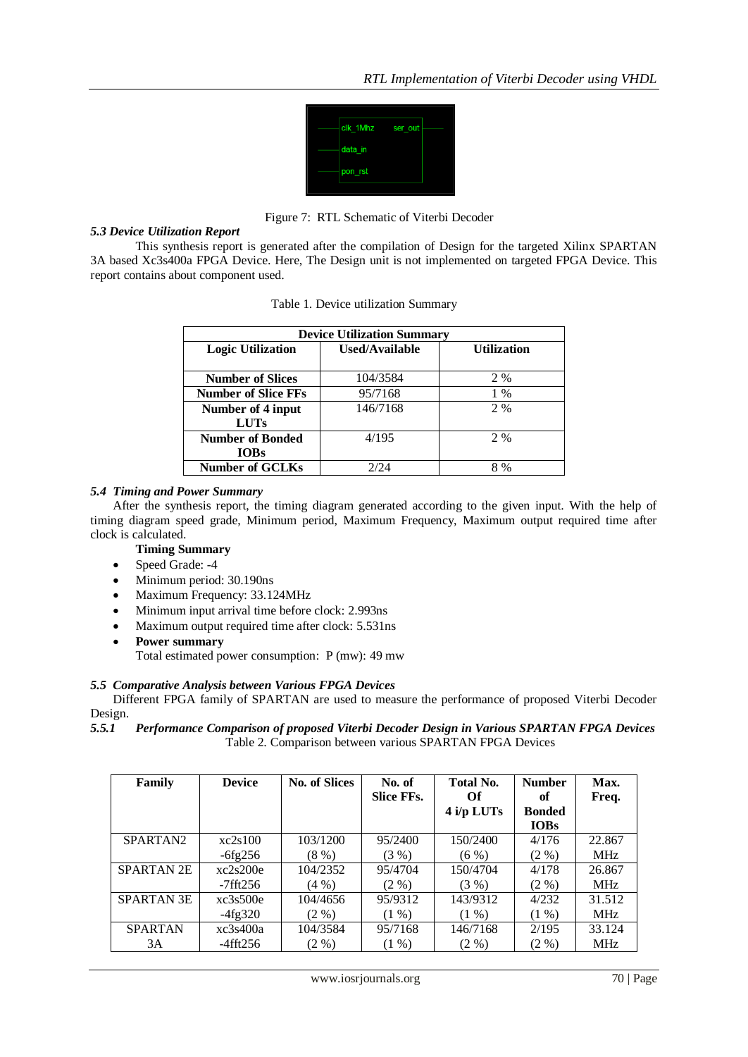

Figure 7: RTL Schematic of Viterbi Decoder

# *5.3 Device Utilization Report*

This synthesis report is generated after the compilation of Design for the targeted Xilinx SPARTAN 3A based Xc3s400a FPGA Device. Here, The Design unit is not implemented on targeted FPGA Device. This report contains about component used.

| <b>Device Utilization Summary</b> |                |                    |  |  |  |  |
|-----------------------------------|----------------|--------------------|--|--|--|--|
| <b>Logic Utilization</b>          | Used/Available | <b>Utilization</b> |  |  |  |  |
| <b>Number of Slices</b>           | 104/3584       | 2 %                |  |  |  |  |
| <b>Number of Slice FFs</b>        | 95/7168        | 1 %                |  |  |  |  |
| Number of 4 input                 | 146/7168       | 2 %                |  |  |  |  |
| <b>LUTs</b>                       |                |                    |  |  |  |  |
| <b>Number of Bonded</b>           | 4/195          | 2 %                |  |  |  |  |
| <b>IOBs</b>                       |                |                    |  |  |  |  |
| <b>Number of GCLKs</b>            | 2/24           | 8 %                |  |  |  |  |

# *5.4 Timing and Power Summary*

After the synthesis report, the timing diagram generated according to the given input. With the help of timing diagram speed grade, Minimum period, Maximum Frequency, Maximum output required time after clock is calculated.

# **Timing Summary**

- Speed Grade: -4
- Minimum period: 30.190ns
- Maximum Frequency: 33.124MHz
- Minimum input arrival time before clock: 2.993ns
- Maximum output required time after clock: 5.531ns
- **Power summary** 
	- Total estimated power consumption: P (mw): 49 mw

# *5.5 Comparative Analysis between Various FPGA Devices*

Different FPGA family of SPARTAN are used to measure the performance of proposed Viterbi Decoder Design.

*5.5.1 Performance Comparison of proposed Viterbi Decoder Design in Various SPARTAN FPGA Devices*  Table 2. Comparison between various SPARTAN FPGA Devices

| Family               | <b>Device</b>  | <b>No. of Slices</b> | No. of<br><b>Slice FFs.</b> | <b>Total No.</b><br>Оf | <b>Number</b><br>of | Max.<br>Freq. |
|----------------------|----------------|----------------------|-----------------------------|------------------------|---------------------|---------------|
|                      |                |                      |                             | $4$ i/p LUTs           | <b>Bonded</b>       |               |
|                      |                |                      |                             |                        | <b>IOBs</b>         |               |
| SPARTAN <sub>2</sub> | xc2s100        | 103/1200             | 95/2400                     | 150/2400               | 4/176               | 22.867        |
|                      | $-6fg256$      | $(8\%)$              | (3%)                        | $(6\%)$                | $(2 \%)$            | <b>MHz</b>    |
| <b>SPARTAN 2E</b>    | xc2s200e       | 104/2352             | 95/4704                     | 150/4704               | 4/178               | 26.867        |
|                      | $-7$ fft $256$ | $(4\% )$             | $(2\%)$                     | (3%)                   | $(2 \%)$            | <b>MHz</b>    |
| <b>SPARTAN 3E</b>    | xc3s500e       | 104/4656             | 95/9312                     | 143/9312               | 4/232               | 31.512        |
|                      | $-4fg320$      | $(2\% )$             | $(1\%)$                     | $(1\%)$                | $(1\% )$            | <b>MHz</b>    |
| <b>SPARTAN</b>       | xc3s400a       | 104/3584             | 95/7168                     | 146/7168               | 2/195               | 33.124        |
| 3A                   | -4fft256       | $(2 \%)$             | $(1\% )$                    | $(2\% )$               | $(2 \%)$            | <b>MHz</b>    |